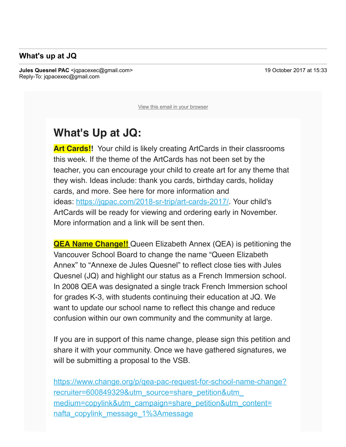## **What's up at JQ**

To: luvanvo@gmail.com

**Jules Quesnel PAC** <igpacexec@gmail.com> 19 October 2017 at 15:33 Reply-To: jqpacexec@gmail.com

View this email in your browser

## **What's Up at JQ:**

**Art Cards!!**  Your child is likely creating ArtCards in their classrooms this week. If the theme of the ArtCards has not been set by the teacher, you can encourage your child to create art for any theme that they wish. Ideas include: thank you cards, birthday cards, holiday cards, and more. See here for more information and ideas: https://jqpac.com/2018-sr-trip/art-cards-2017/. Your child's ArtCards will be ready for viewing and ordering early in November. More information and a link will be sent then.

**QEA Name Change!!** Queen Elizabeth Annex (QEA) is petitioning the Vancouver School Board to change the name "Queen Elizabeth Annex" to "Annexe de Jules Quesnel" to reflect close ties with Jules Quesnel (JQ) and highlight our status as a French Immersion school. In 2008 QEA was designated a single track French Immersion school for grades K-3, with students continuing their education at JQ. We want to update our school name to reflect this change and reduce confusion within our own community and the community at large.

If you are in support of this name change, please sign this petition and share it with your community. Once we have gathered signatures, we will be submitting a proposal to the VSB.

https://www.change.org/p/gea-pac-request-for-school-name-change? recruiter=600849329&utm\_source=share\_petition&utm\_ medium=copylink&utm\_campaign=share\_petition&utm\_content= nafta copylink message 1%3Amessage